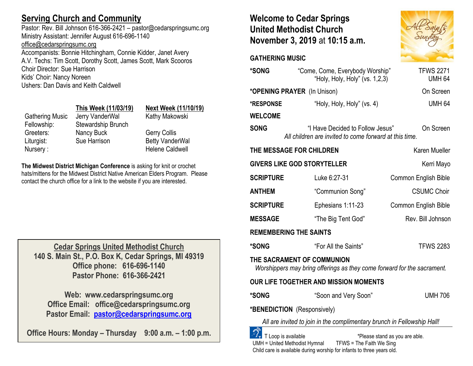# **Serving Church and Community**

Pastor: Rev. Bill Johnson 616-366-2421 – pastor@cedarspringsumc.org Ministry Assistant: Jennifer August 616-696-1140 [office@cedarspringsumc.org](mailto:office@cedarspringsumc.org)

Accompanists: Bonnie Hitchingham, Connie Kidder, Janet Avery A.V. Techs: Tim Scott, Dorothy Scott, James Scott, Mark Scooros Choir Director: Sue Harrison Kids' Choir: Nancy Noreen Ushers: Dan Davis and Keith Caldwell

|                 | This Week (11/03/19 |
|-----------------|---------------------|
| Gathering Music | Jerry VanderWal     |
| Fellowship:     | Stewardship Brunch  |
| Greeters:       | Nancy Buck          |
| Liturgist:      | Sue Harrison        |
| .               |                     |

## **This Week (11/03/19) Next Week (11/10/19)**

erry VanderWal Kathy Makowski

ancy Buck Gerry Collis ue Harrison Betty VanderWal Nursery : Nursery : Nursery : Nursery : Nursery : Nursery : Nursery : Nursery : Nursery : Nursery : Nurser : Nu

**The Midwest District Michigan Conference** is asking for knit or crochet hats/mittens for the Midwest District Native American Elders Program. Please contact the church office for a link to the website if you are interested.

**Cedar Springs United Methodist Church 140 S. Main St., P.O. Box K, Cedar Springs, MI 49319 Office phone: 616-696-1140 Pastor Phone: 616-366-2421**

**Web: www.cedarspringsumc.org Office Email: office@cedarspringsumc.org Pastor Email: [pastor@cedarspringsumc.org](mailto:pastor@cedarspringsumc.org)**

**Office Hours: Monday – Thursday 9:00 a.m. – 1:00 p.m.**

# **Welcome to Cedar Springs United Methodist Church November 3, 2019** at **10:15 a.m.**

### **GATHERING MUSIC**

| *SONG                                                                                                              | "Come, Come, Everybody Worship"<br>"Holy, Holy, Holy" (vs. 1,2,3)                          | <b>TFWS 2271</b><br><b>UMH 64</b> |  |  |
|--------------------------------------------------------------------------------------------------------------------|--------------------------------------------------------------------------------------------|-----------------------------------|--|--|
| *OPENING PRAYER (In Unison)                                                                                        |                                                                                            | On Screen                         |  |  |
| <b>*RESPONSE</b>                                                                                                   | "Holy, Holy, Holy" (vs. 4)                                                                 | <b>UMH 64</b>                     |  |  |
| <b>WELCOME</b>                                                                                                     |                                                                                            |                                   |  |  |
| <b>SONG</b>                                                                                                        | "I Have Decided to Follow Jesus"<br>All children are invited to come forward at this time. | On Screen                         |  |  |
| THE MESSAGE FOR CHILDREN                                                                                           |                                                                                            | Karen Mueller                     |  |  |
| <b>GIVERS LIKE GOD STORYTELLER</b><br>Kerri Mayo                                                                   |                                                                                            |                                   |  |  |
| <b>SCRIPTURE</b>                                                                                                   | Luke 6:27-31                                                                               | <b>Common English Bible</b>       |  |  |
| <b>ANTHEM</b>                                                                                                      | "Communion Song"                                                                           | <b>CSUMC Choir</b>                |  |  |
| <b>SCRIPTURE</b>                                                                                                   | Ephesians 1:11-23                                                                          | <b>Common English Bible</b>       |  |  |
| <b>MESSAGE</b>                                                                                                     | "The Big Tent God"                                                                         | Rev. Bill Johnson                 |  |  |
| <b>REMEMBERING THE SAINTS</b>                                                                                      |                                                                                            |                                   |  |  |
| *SONG                                                                                                              | "For All the Saints"                                                                       | <b>TFWS 2283</b>                  |  |  |
| THE SACRAMENT OF COMMUNION<br>Worshippers may bring offerings as they come forward for the sacrament.              |                                                                                            |                                   |  |  |
| OUR LIFE TOGETHER AND MISSION MOMENTS                                                                              |                                                                                            |                                   |  |  |
| <b>*SONG</b>                                                                                                       | "Soon and Very Soon"                                                                       | <b>UMH 706</b>                    |  |  |
| *BENEDICTION (Responsively)                                                                                        |                                                                                            |                                   |  |  |
| All are invited to join in the complimentary brunch in Fellowship Hall!                                            |                                                                                            |                                   |  |  |
| T Loop is available<br>*Please stand as you are able.<br>TFWS = The Faith We Sing<br>UMH = United Methodist Hymnal |                                                                                            |                                   |  |  |

Child care is available during worship for infants to three years old.